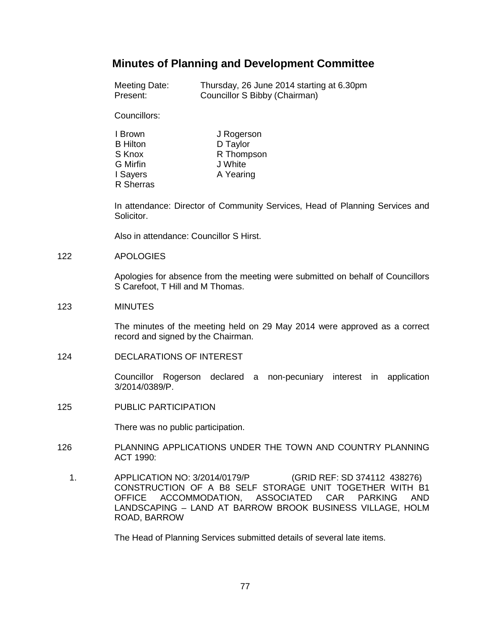# **Minutes of Planning and Development Committee**

| Meeting Date: | Thursday, 26 June 2014 starting at 6.30pm |
|---------------|-------------------------------------------|
| Present:      | Councillor S Bibby (Chairman)             |

Councillors:

| I Brown          | J Rogerson |
|------------------|------------|
| <b>B</b> Hilton  | D Taylor   |
| S Knox           | R Thompson |
| G Mirfin         | J White    |
| I Sayers         | A Yearing  |
| <b>R</b> Sherras |            |

In attendance: Director of Community Services, Head of Planning Services and Solicitor.

Also in attendance: Councillor S Hirst.

### 122 APOLOGIES

Apologies for absence from the meeting were submitted on behalf of Councillors S Carefoot, T Hill and M Thomas.

### 123 MINUTES

The minutes of the meeting held on 29 May 2014 were approved as a correct record and signed by the Chairman.

124 DECLARATIONS OF INTEREST

Councillor Rogerson declared a non-pecuniary interest in application 3/2014/0389/P.

125 PUBLIC PARTICIPATION

There was no public participation.

- 126 PLANNING APPLICATIONS UNDER THE TOWN AND COUNTRY PLANNING ACT 1990:
	- 1. APPLICATION NO: 3/2014/0179/P (GRID REF: SD 374112 438276) CONSTRUCTION OF A B8 SELF STORAGE UNIT TOGETHER WITH B1 OFFICE ACCOMMODATION, ASSOCIATED CAR PARKING AND LANDSCAPING – LAND AT BARROW BROOK BUSINESS VILLAGE, HOLM ROAD, BARROW

The Head of Planning Services submitted details of several late items.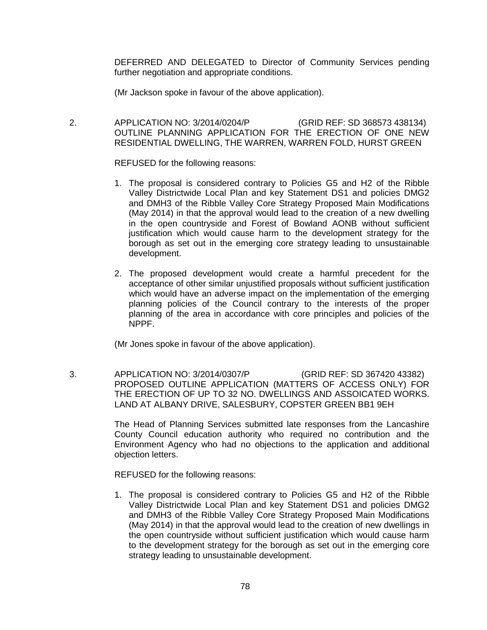DEFERRED AND DELEGATED to Director of Community Services pending further negotiation and appropriate conditions.

(Mr Jackson spoke in favour of the above application).

 2. APPLICATION NO: 3/2014/0204/P (GRID REF: SD 368573 438134) OUTLINE PLANNING APPLICATION FOR THE ERECTION OF ONE NEW RESIDENTIAL DWELLING, THE WARREN, WARREN FOLD, HURST GREEN

REFUSED for the following reasons:

- 1. The proposal is considered contrary to Policies G5 and H2 of the Ribble Valley Districtwide Local Plan and key Statement DS1 and policies DMG2 and DMH3 of the Ribble Valley Core Strategy Proposed Main Modifications (May 2014) in that the approval would lead to the creation of a new dwelling in the open countryside and Forest of Bowland AONB without sufficient justification which would cause harm to the development strategy for the borough as set out in the emerging core strategy leading to unsustainable development.
- 2. The proposed development would create a harmful precedent for the acceptance of other similar unjustified proposals without sufficient justification which would have an adverse impact on the implementation of the emerging planning policies of the Council contrary to the interests of the proper planning of the area in accordance with core principles and policies of the NPPF.

(Mr Jones spoke in favour of the above application).

 3. APPLICATION NO: 3/2014/0307/P (GRID REF: SD 367420 43382) PROPOSED OUTLINE APPLICATION (MATTERS OF ACCESS ONLY) FOR THE ERECTION OF UP TO 32 NO. DWELLINGS AND ASSOICATED WORKS. LAND AT ALBANY DRIVE, SALESBURY, COPSTER GREEN BB1 9EH

> The Head of Planning Services submitted late responses from the Lancashire County Council education authority who required no contribution and the Environment Agency who had no objections to the application and additional objection letters.

REFUSED for the following reasons:

1. The proposal is considered contrary to Policies G5 and H2 of the Ribble Valley Districtwide Local Plan and key Statement DS1 and policies DMG2 and DMH3 of the Ribble Valley Core Strategy Proposed Main Modifications (May 2014) in that the approval would lead to the creation of new dwellings in the open countryside without sufficient justification which would cause harm to the development strategy for the borough as set out in the emerging core strategy leading to unsustainable development.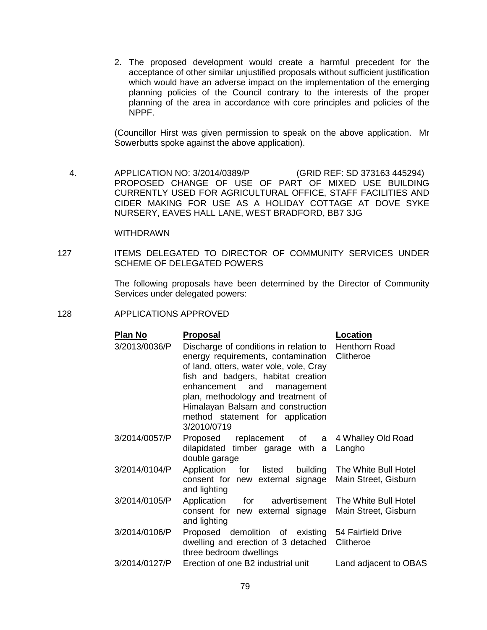2. The proposed development would create a harmful precedent for the acceptance of other similar unjustified proposals without sufficient justification which would have an adverse impact on the implementation of the emerging planning policies of the Council contrary to the interests of the proper planning of the area in accordance with core principles and policies of the NPPF.

(Councillor Hirst was given permission to speak on the above application. Mr Sowerbutts spoke against the above application).

 4. APPLICATION NO: 3/2014/0389/P (GRID REF: SD 373163 445294) PROPOSED CHANGE OF USE OF PART OF MIXED USE BUILDING CURRENTLY USED FOR AGRICULTURAL OFFICE, STAFF FACILITIES AND CIDER MAKING FOR USE AS A HOLIDAY COTTAGE AT DOVE SYKE NURSERY, EAVES HALL LANE, WEST BRADFORD, BB7 3JG

### WITHDRAWN

127 ITEMS DELEGATED TO DIRECTOR OF COMMUNITY SERVICES UNDER SCHEME OF DELEGATED POWERS

> The following proposals have been determined by the Director of Community Services under delegated powers:

#### 128 APPLICATIONS APPROVED

| Plan No       | <b>Proposal</b>                                                                                                                                                                                                                                                                                                                         | Location                                              |
|---------------|-----------------------------------------------------------------------------------------------------------------------------------------------------------------------------------------------------------------------------------------------------------------------------------------------------------------------------------------|-------------------------------------------------------|
| 3/2013/0036/P | Discharge of conditions in relation to Henthorn Road<br>energy requirements, contamination<br>of land, otters, water vole, vole, Cray<br>fish and badgers, habitat creation<br>enhancement and management<br>plan, methodology and treatment of<br>Himalayan Balsam and construction<br>method statement for application<br>3/2010/0719 | Clitheroe                                             |
| 3/2014/0057/P | Proposed replacement of a 4 Whalley Old Road<br>dilapidated timber garage with a<br>double garage                                                                                                                                                                                                                                       | Langho                                                |
| 3/2014/0104/P | Application for listed<br>consent for new external signage<br>and lighting                                                                                                                                                                                                                                                              | building The White Bull Hotel<br>Main Street, Gisburn |
| 3/2014/0105/P | Application for advertisement<br>consent for new external signage<br>and lighting                                                                                                                                                                                                                                                       | The White Bull Hotel<br>Main Street, Gisburn          |
| 3/2014/0106/P | Proposed demolition of existing<br>dwelling and erection of 3 detached<br>three bedroom dwellings                                                                                                                                                                                                                                       | 54 Fairfield Drive<br>Clitheroe                       |
| 3/2014/0127/P | Erection of one B2 industrial unit                                                                                                                                                                                                                                                                                                      | Land adjacent to OBAS                                 |
|               |                                                                                                                                                                                                                                                                                                                                         |                                                       |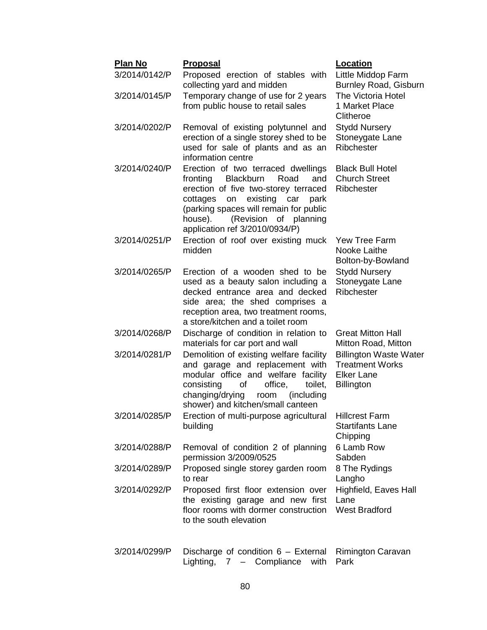| <b>Plan No</b><br>3/2014/0142/P | <u>Proposal</u><br>Proposed erection of stables with                                                                                                                                                                                                                                   | Location<br>Little Middop Farm                                                                    |
|---------------------------------|----------------------------------------------------------------------------------------------------------------------------------------------------------------------------------------------------------------------------------------------------------------------------------------|---------------------------------------------------------------------------------------------------|
|                                 | collecting yard and midden                                                                                                                                                                                                                                                             | <b>Burnley Road, Gisburn</b>                                                                      |
| 3/2014/0145/P                   | Temporary change of use for 2 years<br>from public house to retail sales                                                                                                                                                                                                               | <b>The Victoria Hotel</b><br>1 Market Place<br>Clitheroe                                          |
| 3/2014/0202/P                   | Removal of existing polytunnel and<br>erection of a single storey shed to be<br>used for sale of plants and as an<br>information centre                                                                                                                                                | <b>Stydd Nursery</b><br>Stoneygate Lane<br>Ribchester                                             |
| 3/2014/0240/P                   | Erection of two terraced dwellings<br><b>Blackburn</b><br>Road<br>and<br>fronting<br>erection of five two-storey terraced<br>existing car<br>cottages<br>on<br>park<br>(parking spaces will remain for public<br>(Revision<br>of planning<br>house).<br>application ref 3/2010/0934/P) | <b>Black Bull Hotel</b><br><b>Church Street</b><br>Ribchester                                     |
| 3/2014/0251/P                   | Erection of roof over existing muck<br>midden                                                                                                                                                                                                                                          | <b>Yew Tree Farm</b><br>Nooke Laithe<br>Bolton-by-Bowland                                         |
| 3/2014/0265/P                   | Erection of a wooden shed to be<br>used as a beauty salon including a<br>decked entrance area and decked<br>side area; the shed comprises a<br>reception area, two treatment rooms,<br>a store/kitchen and a toilet room                                                               | <b>Stydd Nursery</b><br>Stoneygate Lane<br>Ribchester                                             |
| 3/2014/0268/P                   | Discharge of condition in relation to<br>materials for car port and wall                                                                                                                                                                                                               | <b>Great Mitton Hall</b><br>Mitton Road, Mitton                                                   |
| 3/2014/0281/P                   | Demolition of existing welfare facility<br>and garage and replacement with<br>modular office and welfare facility<br>office,<br>of<br>toilet.<br>consisting<br>changing/drying<br>room<br>(including<br>shower) and kitchen/small canteen                                              | <b>Billington Waste Water</b><br><b>Treatment Works</b><br><b>Elker Lane</b><br><b>Billington</b> |
| 3/2014/0285/P                   | Erection of multi-purpose agricultural Hillcrest Farm<br>building                                                                                                                                                                                                                      | <b>Startifants Lane</b><br>Chipping                                                               |
| 3/2014/0288/P                   | Removal of condition 2 of planning<br>permission 3/2009/0525                                                                                                                                                                                                                           | 6 Lamb Row<br>Sabden                                                                              |
| 3/2014/0289/P                   | Proposed single storey garden room<br>to rear                                                                                                                                                                                                                                          | 8 The Rydings<br>Langho                                                                           |
| 3/2014/0292/P                   | Proposed first floor extension over<br>the existing garage and new first<br>floor rooms with dormer construction<br>to the south elevation                                                                                                                                             | Highfield, Eaves Hall<br>Lane<br><b>West Bradford</b>                                             |
| 3/2014/0299/P                   | Discharge of condition 6 - External                                                                                                                                                                                                                                                    | Rimington Caravan                                                                                 |

Lighting, 7 – Compliance with Park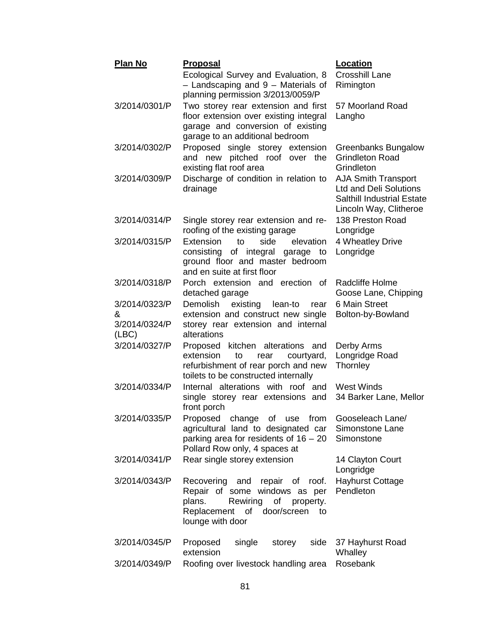| <b>Plan No</b>                               | <b>Proposal</b>                                                                                                                                                           | Location                                                                                                                   |
|----------------------------------------------|---------------------------------------------------------------------------------------------------------------------------------------------------------------------------|----------------------------------------------------------------------------------------------------------------------------|
|                                              | Ecological Survey and Evaluation, 8<br>- Landscaping and 9 - Materials of<br>planning permission 3/2013/0059/P                                                            | <b>Crosshill Lane</b><br>Rimington                                                                                         |
| 3/2014/0301/P                                | Two storey rear extension and first<br>floor extension over existing integral<br>garage and conversion of existing<br>garage to an additional bedroom                     | 57 Moorland Road<br>Langho                                                                                                 |
| 3/2014/0302/P                                | Proposed single storey extension<br>and new pitched roof over the<br>existing flat roof area                                                                              | <b>Greenbanks Bungalow</b><br><b>Grindleton Road</b><br>Grindleton                                                         |
| 3/2014/0309/P                                | Discharge of condition in relation to<br>drainage                                                                                                                         | <b>AJA Smith Transport</b><br><b>Ltd and Deli Solutions</b><br><b>Salthill Industrial Estate</b><br>Lincoln Way, Clitheroe |
| 3/2014/0314/P                                | Single storey rear extension and re-<br>roofing of the existing garage                                                                                                    | 138 Preston Road<br>Longridge                                                                                              |
| 3/2014/0315/P                                | Extension<br>elevation<br>to<br>side<br>of integral<br>consisting<br>garage to<br>ground floor and master bedroom<br>and en suite at first floor                          | 4 Wheatley Drive<br>Longridge                                                                                              |
| 3/2014/0318/P                                | Porch extension and erection of<br>detached garage                                                                                                                        | Radcliffe Holme<br>Goose Lane, Chipping                                                                                    |
| 3/2014/0323/P<br>&<br>3/2014/0324/P<br>(ABC) | Demolish<br>existing<br>lean-to<br>rear<br>extension and construct new single<br>storey rear extension and internal<br>alterations                                        | 6 Main Street<br>Bolton-by-Bowland                                                                                         |
| 3/2014/0327/P                                | Proposed kitchen alterations and<br>extension<br>to<br>courtyard,<br>rear<br>refurbishment of rear porch and new<br>toilets to be constructed internally                  | Derby Arms<br>Longridge Road<br>Thornley                                                                                   |
| 3/2014/0334/P                                | Internal alterations with roof and<br>single storey rear extensions and<br>front porch                                                                                    | West Winds<br>34 Barker Lane, Mellor                                                                                       |
| 3/2014/0335/P                                | Proposed<br>change of use<br>from<br>agricultural land to designated car<br>parking area for residents of $16 - 20$<br>Pollard Row only, 4 spaces at                      | Gooseleach Lane/<br>Simonstone Lane<br>Simonstone                                                                          |
| 3/2014/0341/P                                | Rear single storey extension                                                                                                                                              | 14 Clayton Court<br>Longridge                                                                                              |
| 3/2014/0343/P                                | Recovering and<br>repair of roof.<br>Repair of some windows as per<br>of<br>plans.<br>Rewiring<br>property.<br>Replacement<br>of<br>door/screen<br>to<br>lounge with door | <b>Hayhurst Cottage</b><br>Pendleton                                                                                       |
| 3/2014/0345/P                                | side<br>Proposed<br>single<br>storey<br>extension                                                                                                                         | 37 Hayhurst Road<br>Whalley                                                                                                |
| 3/2014/0349/P                                | Roofing over livestock handling area                                                                                                                                      | Rosebank                                                                                                                   |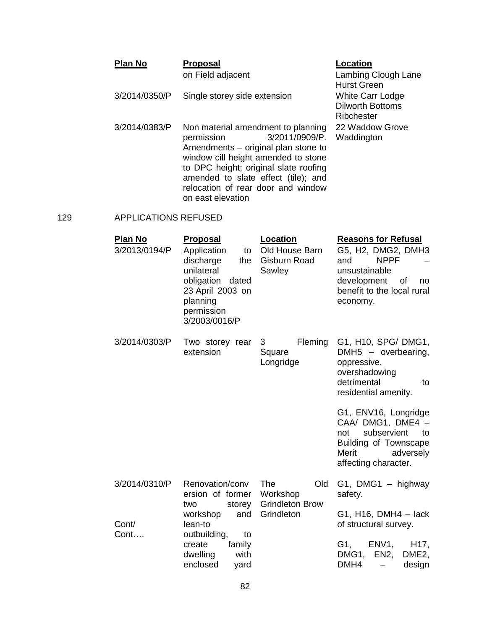| <b>Plan No</b> | <b>Proposal</b>                                                                                                                                  | Location                                                  |
|----------------|--------------------------------------------------------------------------------------------------------------------------------------------------|-----------------------------------------------------------|
|                | on Field adjacent                                                                                                                                | Lambing Clough Lane<br><b>Hurst Green</b>                 |
| 3/2014/0350/P  | Single storey side extension                                                                                                                     | White Carr Lodge<br><b>Dilworth Bottoms</b><br>Ribchester |
| 3/2014/0383/P  | Non material amendment to planning<br>3/2011/0909/P.<br>permission<br>Amendments – original plan stone to<br>window cill height amended to stone | 22 Waddow Grove<br>Waddington                             |

to DPC height; original slate roofing amended to slate effect (tile); and relocation of rear door and window

on east elevation

## 129 APPLICATIONS REFUSED

| <u>Plan No</u><br>3/2013/0194/P | <u>Proposal</u><br>Application<br>to<br>discharge<br>the<br>unilateral<br>obligation dated<br>23 April 2003 on<br>planning<br>permission<br>3/2003/0016/P | <b>Location</b><br>Old House Barn<br>Gisburn Road<br>Sawley | <b>Reasons for Refusal</b><br>G5, H2, DMG2, DMH3<br><b>NPPF</b><br>and<br>unsustainable<br>development<br>of<br>no.<br>benefit to the local rural<br>economy. |
|---------------------------------|-----------------------------------------------------------------------------------------------------------------------------------------------------------|-------------------------------------------------------------|---------------------------------------------------------------------------------------------------------------------------------------------------------------|
| 3/2014/0303/P                   | Two storey rear<br>extension                                                                                                                              | Fleming<br>3<br>Square<br>Longridge                         | G1, H10, SPG/ DMG1,<br>DMH5 - overbearing,<br>oppressive,<br>overshadowing<br>detrimental<br>to<br>residential amenity.                                       |
|                                 |                                                                                                                                                           |                                                             | G1, ENV16, Longridge<br>CAA/ DMG1, DME4 -<br>subservient<br>not<br>to<br><b>Building of Townscape</b><br>Merit<br>adversely<br>affecting character.           |
| 3/2014/0310/P                   | Renovation/conv<br>ersion of former<br>storey<br>two                                                                                                      | The<br>Old<br>Workshop<br><b>Grindleton Brow</b>            | $G1$ , DMG1 - highway<br>safety.                                                                                                                              |
| Cont/<br>Cont                   | workshop<br>and<br>lean-to<br>outbuilding,<br>to                                                                                                          | Grindleton                                                  | G1, H16, DMH4 - lack<br>of structural survey.                                                                                                                 |
|                                 | create<br>family<br>dwelling<br>with<br>enclosed<br>yard                                                                                                  |                                                             | ENV <sub>1</sub> ,<br>H <sub>17</sub> ,<br>G1,<br>DMG1,<br>EN2,<br>DME <sub>2</sub> ,<br>DMH4<br>design                                                       |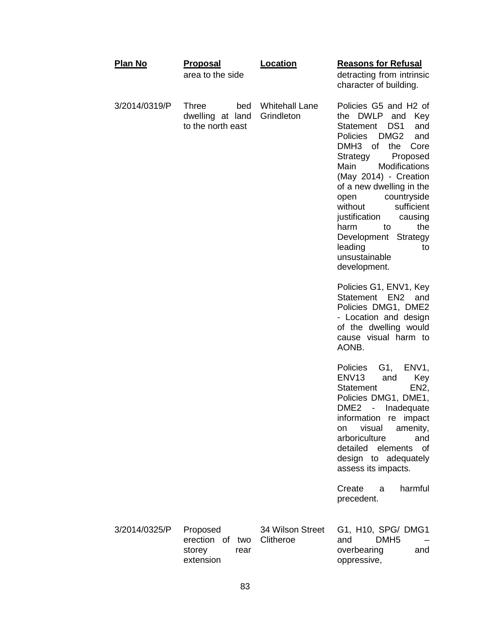| <b>Plan No</b> | <u>Proposal</u><br>area to the side                          | Location                            | <b>Reasons for Refusal</b><br>detracting from intrinsic<br>character of building.                                                                                                                                                                                                                                                                                                                                                                                                                                                                                    |
|----------------|--------------------------------------------------------------|-------------------------------------|----------------------------------------------------------------------------------------------------------------------------------------------------------------------------------------------------------------------------------------------------------------------------------------------------------------------------------------------------------------------------------------------------------------------------------------------------------------------------------------------------------------------------------------------------------------------|
| 3/2014/0319/P  | <b>Three</b><br>bed<br>dwelling at land<br>to the north east | <b>Whitehall Lane</b><br>Grindleton | Policies G5 and H2 of<br>the DWLP and<br>Key<br>DS <sub>1</sub><br>and<br>Statement<br><b>Policies</b><br>DMG <sub>2</sub><br>and<br>DMH <sub>3</sub><br><b>of</b><br>the<br>Core<br>Strategy<br>Proposed<br>Modifications<br>Main<br>(May 2014) - Creation<br>of a new dwelling in the<br>countryside<br>open<br>sufficient<br>without<br>justification<br>causing<br>the<br>harm<br>to<br>Development Strategy<br>leading<br>to<br>unsustainable<br>development.<br>Policies G1, ENV1, Key<br>Statement EN2<br>and<br>Policies DMG1, DME2<br>- Location and design |
|                |                                                              |                                     | of the dwelling would<br>cause visual harm to<br>AONB.                                                                                                                                                                                                                                                                                                                                                                                                                                                                                                               |
|                |                                                              |                                     | G1,<br><b>Policies</b><br>ENV <sub>1</sub> ,<br>ENV <sub>13</sub><br>and<br>Key<br><b>Statement</b><br>EN <sub>2</sub> ,<br>Policies DMG1, DME1,<br>DME <sub>2</sub><br>Inadequate<br>$\sim$ $-$<br>information re impact<br>visual<br>amenity,<br>on<br>arboriculture<br>and<br>detailed<br>elements<br>of<br>design to adequately<br>assess its impacts.                                                                                                                                                                                                           |
|                |                                                              |                                     | Create<br>harmful<br>a<br>precedent.                                                                                                                                                                                                                                                                                                                                                                                                                                                                                                                                 |
| 3/2014/0325/P  | Proposed<br>erection of<br>storey<br>rear<br>extension       | 34 Wilson Street<br>two Clitheroe   | G1, H10, SPG/ DMG1<br>DMH <sub>5</sub><br>and<br>overbearing<br>and<br>oppressive,                                                                                                                                                                                                                                                                                                                                                                                                                                                                                   |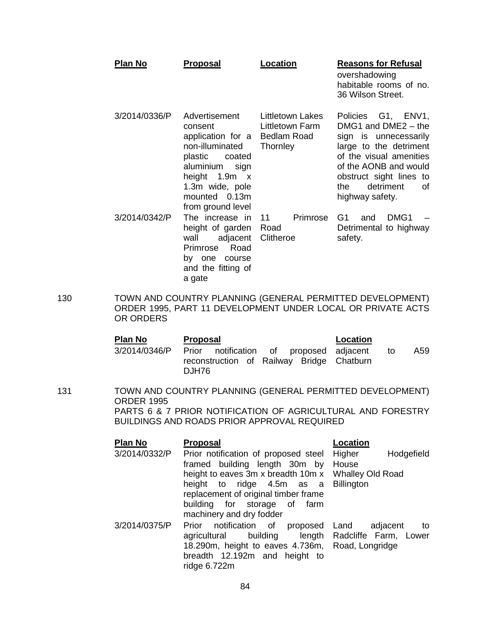| Plan No       | <b>Proposal</b>                                                                                                                                                                         | Location                                                              | <b>Reasons for Refusal</b><br>overshadowing<br>habitable rooms of no.<br>36 Wilson Street.                                                                                                                                |
|---------------|-----------------------------------------------------------------------------------------------------------------------------------------------------------------------------------------|-----------------------------------------------------------------------|---------------------------------------------------------------------------------------------------------------------------------------------------------------------------------------------------------------------------|
| 3/2014/0336/P | Advertisement<br>consent<br>application for a<br>non-illuminated<br>plastic<br>coated<br>aluminium<br>sign<br>height<br>1.9m x<br>1.3m wide, pole<br>mounted 0.13m<br>from ground level | Littletown Lakes<br>Littletown Farm<br><b>Bedlam Road</b><br>Thornley | Policies G1, ENV1,<br>DMG1 and DME2 - the<br>sign is unnecessarily<br>large to the detriment<br>of the visual amenities<br>of the AONB and would<br>obstruct sight lines to<br>detriment<br>the.<br>Ωf<br>highway safety. |
| 3/2014/0342/P | The increase in<br>height of garden<br>wall<br>adjacent<br>Road<br>Primrose<br>by one<br>course<br>and the fitting of<br>a gate                                                         | Primrose<br>11<br>Road<br>Clitheroe                                   | G1<br>DMG <sub>1</sub><br>and<br>Detrimental to highway<br>safety.                                                                                                                                                        |

130 TOWN AND COUNTRY PLANNING (GENERAL PERMITTED DEVELOPMENT) ORDER 1995, PART 11 DEVELOPMENT UNDER LOCAL OR PRIVATE ACTS OR ORDERS

| Plan No | <b>Proposal</b>                                                                                             | Location  |
|---------|-------------------------------------------------------------------------------------------------------------|-----------|
|         | 3/2014/0346/P Prior notification of proposed adjacent<br>reconstruction of Railway Bridge Chatburn<br>DJH76 | A59<br>to |

131 TOWN AND COUNTRY PLANNING (GENERAL PERMITTED DEVELOPMENT) ORDER 1995 PARTS 6 & 7 PRIOR NOTIFICATION OF AGRICULTURAL AND FORESTRY BUILDINGS AND ROADS PRIOR APPROVAL REQUIRED

| Plan No       | <b>Proposal</b>                        | Location                              |
|---------------|----------------------------------------|---------------------------------------|
| 3/2014/0332/P | Prior notification of proposed steel   | Higher<br>Hodgefield                  |
|               | framed building length 30m by          | House                                 |
|               | height to eaves 3m x breadth 10m x     | <b>Whalley Old Road</b>               |
|               | height to ridge 4.5m as a              | <b>Billington</b>                     |
|               | replacement of original timber frame   |                                       |
|               | building for storage of farm           |                                       |
|               | machinery and dry fodder               |                                       |
| 3/2014/0375/P | Prior notification of<br>proposed Land | adjacent<br>to                        |
|               | agricultural                           | building length Radcliffe Farm, Lower |
|               | 18.290m, height to eaves 4.736m,       | Road, Longridge                       |
|               | breadth 12.192m and height to          |                                       |
|               | ridge 6.722m                           |                                       |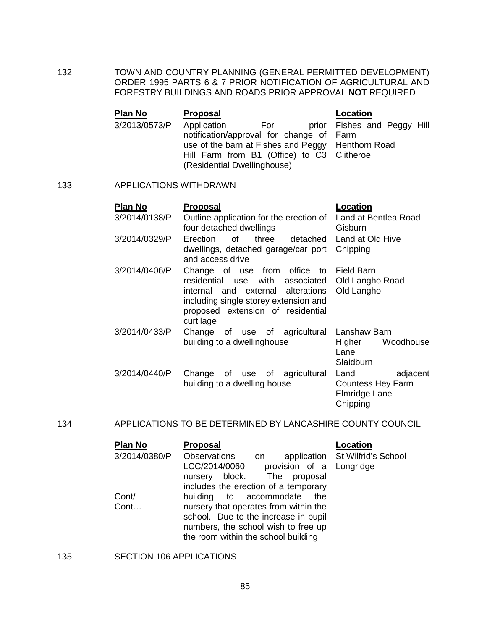132 TOWN AND COUNTRY PLANNING (GENERAL PERMITTED DEVELOPMENT) ORDER 1995 PARTS 6 & 7 PRIOR NOTIFICATION OF AGRICULTURAL AND FORESTRY BUILDINGS AND ROADS PRIOR APPROVAL **NOT** REQUIRED

| <b>Plan No</b> | <b>Proposal</b>                            |     | Location                                          |
|----------------|--------------------------------------------|-----|---------------------------------------------------|
| 3/2013/0573/P  | Application                                | For | prior Fishes and Peggy Hill                       |
|                | notification/approval for change of Farm   |     |                                                   |
|                |                                            |     | use of the barn at Fishes and Peggy Henthorn Road |
|                | Hill Farm from B1 (Office) to C3 Clitheroe |     |                                                   |
|                | (Residential Dwellinghouse)                |     |                                                   |

### 133 APPLICATIONS WITHDRAWN

| Plan No       | <b>Proposal</b>                                                                                                                                                                                            | Location                                                                  |
|---------------|------------------------------------------------------------------------------------------------------------------------------------------------------------------------------------------------------------|---------------------------------------------------------------------------|
| 3/2014/0138/P | Outline application for the erection of<br>four detached dwellings                                                                                                                                         | Land at Bentlea Road<br>Gisburn                                           |
| 3/2014/0329/P | of three<br>Erection<br>detached<br>dwellings, detached garage/car port<br>and access drive                                                                                                                | Land at Old Hive<br>Chipping                                              |
| 3/2014/0406/P | Change of use from office to Field Barn<br>residential use with associated<br>internal and external alterations<br>including single storey extension and<br>proposed extension of residential<br>curtilage | Old Langho Road<br>Old Langho                                             |
| 3/2014/0433/P | Change of use of agricultural<br>building to a dwellinghouse                                                                                                                                               | Lanshaw Barn<br>Woodhouse<br>Higher<br>Lane<br>Slaidburn                  |
| 3/2014/0440/P | Change of use of agricultural<br>building to a dwelling house                                                                                                                                              | Land<br>adjacent<br><b>Countess Hey Farm</b><br>Elmridge Lane<br>Chipping |

## 134 APPLICATIONS TO BE DETERMINED BY LANCASHIRE COUNTY COUNCIL

| <b>Plan No</b> | <b>Proposal</b>                          | <b>Location</b>                 |
|----------------|------------------------------------------|---------------------------------|
| 3/2014/0380/P  | Observations<br>on                       | application St Wilfrid's School |
|                | LCC/2014/0060 - provision of a Longridge |                                 |
|                | nursery block. The proposal              |                                 |
|                | includes the erection of a temporary     |                                 |
| Cont/          | building to accommodate the              |                                 |
| Cont           | nursery that operates from within the    |                                 |
|                | school. Due to the increase in pupil     |                                 |
|                | numbers, the school wish to free up      |                                 |
|                | the room within the school building      |                                 |

## 135 SECTION 106 APPLICATIONS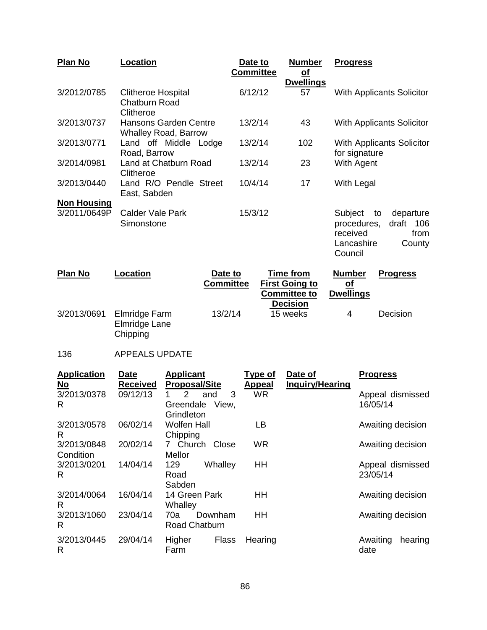| <b>Plan No</b>     | Location                                                       |                             | Date to<br><b>Committee</b> | <b>Number</b><br><u>of</u><br><b>Dwellings</b>                   | <b>Progress</b>                                             |                                                |
|--------------------|----------------------------------------------------------------|-----------------------------|-----------------------------|------------------------------------------------------------------|-------------------------------------------------------------|------------------------------------------------|
| 3/2012/0785        | <b>Clitheroe Hospital</b><br><b>Chatburn Road</b><br>Clitheroe |                             | 6/12/12                     | 57                                                               |                                                             | <b>With Applicants Solicitor</b>               |
| 3/2013/0737        | Hansons Garden Centre<br><b>Whalley Road, Barrow</b>           |                             | 13/2/14                     | 43                                                               |                                                             | <b>With Applicants Solicitor</b>               |
| 3/2013/0771        | Land off Middle Lodge<br>Road, Barrow                          |                             | 13/2/14                     | 102                                                              | for signature                                               | With Applicants Solicitor                      |
| 3/2014/0981        | Land at Chatburn Road<br>Clitheroe                             |                             | 13/2/14                     | 23                                                               | With Agent                                                  |                                                |
| 3/2013/0440        | Land R/O Pendle Street<br>East, Sabden                         |                             | 10/4/14                     | 17                                                               | With Legal                                                  |                                                |
| <b>Non Housing</b> |                                                                |                             |                             |                                                                  |                                                             |                                                |
| 3/2011/0649P       | Calder Vale Park<br>Simonstone                                 |                             | 15/3/12                     |                                                                  | Subject<br>procedures,<br>received<br>Lancashire<br>Council | departure<br>to<br>draft 106<br>from<br>County |
| <b>Plan No</b>     | Location                                                       | Date to<br><b>Committee</b> |                             | <b>Time from</b><br><b>First Going to</b><br><b>Committee to</b> | <b>Number</b><br><u>of</u><br><b>Dwellings</b>              | <b>Progress</b>                                |
| 3/2013/0691        | Elmridge Farm<br>.                                             | 13/2/14                     |                             | <b>Decision</b><br>15 weeks                                      | 4                                                           | Decision                                       |

Elmridge Lane Chipping

## 136 APPEALS UPDATE

| <b>Application</b><br>$\underline{\mathsf{No}}$ | <b>Date</b><br><b>Received</b> | <b>Applicant</b><br><b>Proposal/Site</b> | <b>Type of</b><br><b>Appeal</b> | Date of<br>Inquiry/Hearing | <b>Progress</b>             |
|-------------------------------------------------|--------------------------------|------------------------------------------|---------------------------------|----------------------------|-----------------------------|
| 3/2013/0378                                     | 09/12/13                       | 3<br>$\mathcal{P}$<br>and                | <b>WR</b>                       |                            | Appeal dismissed            |
| R                                               |                                | Greendale<br>View,                       |                                 |                            | 16/05/14                    |
|                                                 |                                | Grindleton                               |                                 |                            |                             |
| 3/2013/0578                                     | 06/02/14                       | Wolfen Hall                              | LВ                              |                            | Awaiting decision           |
| R                                               |                                | Chipping                                 |                                 |                            |                             |
| 3/2013/0848                                     | 20/02/14                       | 7 Church<br>Close                        | <b>WR</b>                       |                            | Awaiting decision           |
| Condition                                       |                                | Mellor                                   |                                 |                            |                             |
| 3/2013/0201                                     | 14/04/14                       | 129<br>Whalley                           | HH                              |                            | Appeal dismissed            |
| R                                               |                                | Road                                     |                                 |                            | 23/05/14                    |
|                                                 |                                | Sabden                                   |                                 |                            |                             |
| 3/2014/0064<br>R                                | 16/04/14                       | 14 Green Park<br>Whalley                 | HН                              |                            | Awaiting decision           |
| 3/2013/1060                                     | 23/04/14                       | 70a<br>Downham                           | HH                              |                            | Awaiting decision           |
| R                                               |                                | Road Chatburn                            |                                 |                            |                             |
| 3/2013/0445<br>R                                | 29/04/14                       | Higher<br><b>Flass</b><br>Farm           | Hearing                         |                            | Awaiting<br>hearing<br>date |